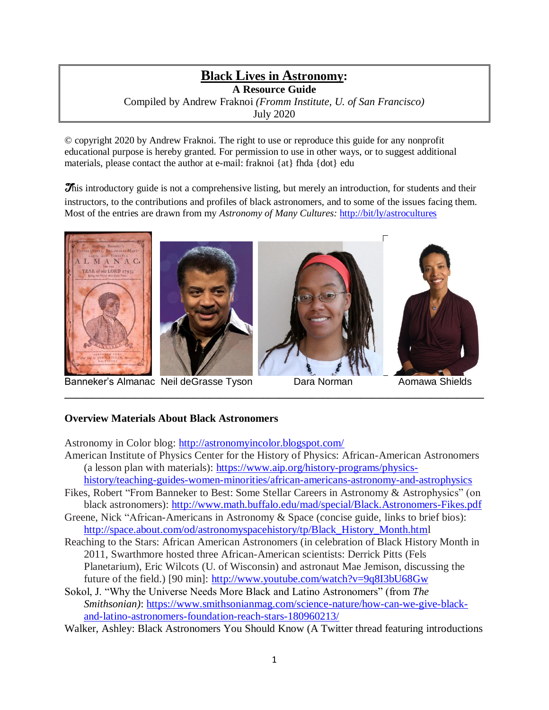# **Black Lives in Astronomy: A Resource Guide** Compiled by Andrew Fraknoi *(Fromm Institute, U. of San Francisco)* July 2020

© copyright 2020 by Andrew Fraknoi. The right to use or reproduce this guide for any nonprofit educational purpose is hereby granted. For permission to use in other ways, or to suggest additional materials, please contact the author at e-mail: fraknoi {at} fhda {dot} edu

This introductory guide is not a comprehensive listing, but merely an introduction, for students and their instructors, to the contributions and profiles of black astronomers, and to some of the issues facing them. Most of the entries are drawn from my *Astronomy of Many Cultures:* <http://bit/ly/astrocultures>





Banneker's Almanac Neil deGrasse Tyson Dara Norman Aomawa Shields







## **Overview Materials About Black Astronomers**

Astronomy in Color blog:<http://astronomyincolor.blogspot.com/>

American Institute of Physics Center for the History of Physics: African-American Astronomers (a lesson plan with materials): [https://www.aip.org/history-programs/physics-](https://www.aip.org/history-programs/physics-history/teaching-guides-women-minorities/african-americans-astronomy-and-astrophysics)

**\_\_\_\_\_\_\_\_\_\_\_\_\_\_\_\_\_\_\_\_\_\_\_\_\_\_\_\_\_\_\_\_\_\_\_\_\_\_\_\_\_\_\_\_\_\_\_\_\_\_\_\_\_\_\_\_\_\_\_\_\_\_\_\_\_\_\_\_\_\_\_\_\_\_\_\_\_\_**

- [history/teaching-guides-women-minorities/african-americans-astronomy-and-astrophysics](https://www.aip.org/history-programs/physics-history/teaching-guides-women-minorities/african-americans-astronomy-and-astrophysics) Fikes, Robert "From Banneker to Best: Some Stellar Careers in Astronomy & Astrophysics" (on
- black astronomers):<http://www.math.buffalo.edu/mad/special/Black.Astronomers-Fikes.pdf> Greene, Nick "African-Americans in Astronomy & Space (concise guide, links to brief bios):
- [http://space.about.com/od/astronomyspacehistory/tp/Black\\_History\\_Month.html](http://space.about.com/od/astronomyspacehistory/tp/Black_History_Month.htm)
- Reaching to the Stars: African American Astronomers (in celebration of Black History Month in 2011, Swarthmore hosted three African-American scientists: Derrick Pitts (Fels Planetarium), Eric Wilcots (U. of Wisconsin) and astronaut Mae Jemison, discussing the future of the field.) [90 min]:<http://www.youtube.com/watch?v=9q8I3bU68Gw>
- Sokol, J. "Why the Universe Needs More Black and Latino Astronomers" (from *The Smithsonian)*: [https://www.smithsonianmag.com/science-nature/how-can-we-give-black](https://www.smithsonianmag.com/science-nature/how-can-we-give-black-and-latino-astronomers-foundation-reach-stars-180960213/)[and-latino-astronomers-foundation-reach-stars-180960213/](https://www.smithsonianmag.com/science-nature/how-can-we-give-black-and-latino-astronomers-foundation-reach-stars-180960213/)
- Walker, Ashley: Black Astronomers You Should Know (A Twitter thread featuring introductions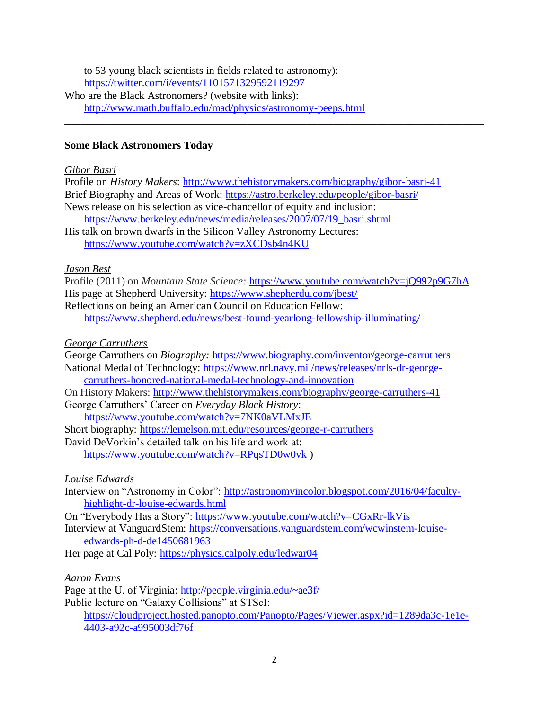to 53 young black scientists in fields related to astronomy):

<https://twitter.com/i/events/1101571329592119297>

Who are the Black Astronomers? (website with links): <http://www.math.buffalo.edu/mad/physics/astronomy-peeps.html> \_\_\_\_\_\_\_\_\_\_\_\_\_\_\_\_\_\_\_\_\_\_\_\_\_\_\_\_\_\_\_\_\_\_\_\_\_\_\_\_\_\_\_\_\_\_\_\_\_\_\_\_\_\_\_\_\_\_\_\_\_\_\_\_\_\_\_\_\_\_\_\_\_\_\_\_\_\_

## **Some Black Astronomers Today**

#### *Gibor Basri*

Profile on *History Makers*:<http://www.thehistorymakers.com/biography/gibor-basri-41> Brief Biography and Areas of Work:<https://astro.berkeley.edu/people/gibor-basri/> News release on his selection as vice-chancellor of equity and inclusion: [https://www.berkeley.edu/news/media/releases/2007/07/19\\_basri.shtml](https://www.berkeley.edu/news/media/releases/2007/07/19_basri.shtml) His talk on brown dwarfs in the Silicon Valley Astronomy Lectures: <https://www.youtube.com/watch?v=zXCDsb4n4KU>

### *Jason Best*

Profile (2011) on *Mountain State Science:* <https://www.youtube.com/watch?v=jQ992p9G7hA> His page at Shepherd University:<https://www.shepherdu.com/jbest/> Reflections on being an American Council on Education Fellow: <https://www.shepherd.edu/news/best-found-yearlong-fellowship-illuminating/>

### *George Carruthers*

George Carruthers on *Biography:* <https://www.biography.com/inventor/george-carruthers> National Medal of Technology: [https://www.nrl.navy.mil/news/releases/nrls-dr-george](https://www.nrl.navy.mil/news/releases/nrls-dr-george-carruthers-honored-national-medal-technology-and-innovation)[carruthers-honored-national-medal-technology-and-innovation](https://www.nrl.navy.mil/news/releases/nrls-dr-george-carruthers-honored-national-medal-technology-and-innovation) On History Makers:<http://www.thehistorymakers.com/biography/george-carruthers-41> George Carruthers' Career on *Everyday Black History*:

<https://www.youtube.com/watch?v=7NK0aVLMxJE>

Short biography:<https://lemelson.mit.edu/resources/george-r-carruthers>

David DeVorkin's detailed talk on his life and work at: <https://www.youtube.com/watch?v=RPqsTD0w0vk> )

## *Louise Edwards*

Interview on "Astronomy in Color": [http://astronomyincolor.blogspot.com/2016/04/faculty](http://astronomyincolor.blogspot.com/2016/04/faculty-highlight-dr-louise-edwards.html)[highlight-dr-louise-edwards.html](http://astronomyincolor.blogspot.com/2016/04/faculty-highlight-dr-louise-edwards.html)

On "Everybody Has a Story":<https://www.youtube.com/watch?v=CGxRr-lkVis> Interview at VanguardStem: [https://conversations.vanguardstem.com/wcwinstem-louise](https://conversations.vanguardstem.com/wcwinstem-louise-edwards-ph-d-de1450681963)[edwards-ph-d-de1450681963](https://conversations.vanguardstem.com/wcwinstem-louise-edwards-ph-d-de1450681963)

Her page at Cal Poly:<https://physics.calpoly.edu/ledwar04>

## *Aaron Evans*

Page at the U. of Virginia: http://people.virginia.edu/~ae3f/ Public lecture on "Galaxy Collisions" at STScI: [https://cloudproject.hosted.panopto.com/Panopto/Pages/Viewer.aspx?id=1289da3c-1e1e-](https://cloudproject.hosted.panopto.com/Panopto/Pages/Viewer.aspx?id=1289da3c-1e1e-4403-a92c-a995003df76f)[4403-a92c-a995003df76f](https://cloudproject.hosted.panopto.com/Panopto/Pages/Viewer.aspx?id=1289da3c-1e1e-4403-a92c-a995003df76f)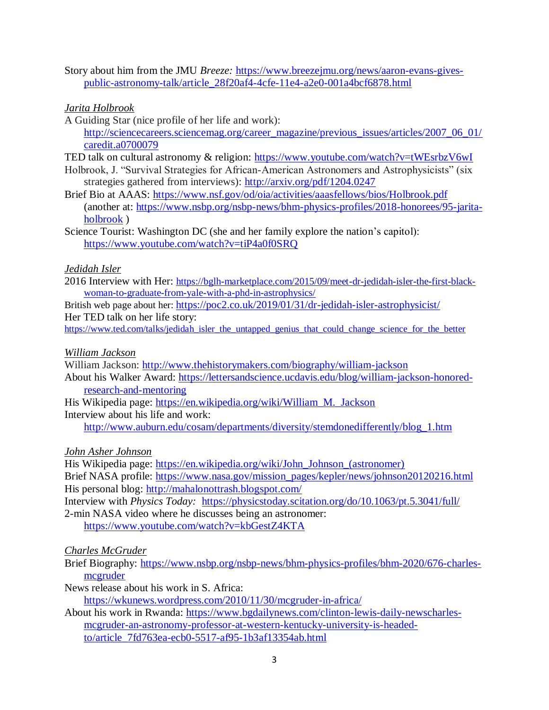Story about him from the JMU *Breeze:* [https://www.breezejmu.org/news/aaron-evans-gives](https://www.breezejmu.org/news/aaron-evans-gives-public-astronomy-talk/article_28f20af4-4cfe-11e4-a2e0-001a4bcf6878.html)[public-astronomy-talk/article\\_28f20af4-4cfe-11e4-a2e0-001a4bcf6878.html](https://www.breezejmu.org/news/aaron-evans-gives-public-astronomy-talk/article_28f20af4-4cfe-11e4-a2e0-001a4bcf6878.html)

### *Jarita Holbrook*

A Guiding Star (nice profile of her life and work): [http://sciencecareers.sciencemag.org/career\\_magazine/previous\\_issues/articles/2007\\_06\\_01/](http://sciencecareers.sciencemag.org/career_magazine/previous_issues/articles/2007_06_01/caredit.a0700079) [caredit.a0700079](http://sciencecareers.sciencemag.org/career_magazine/previous_issues/articles/2007_06_01/caredit.a0700079)

TED talk on cultural astronomy & religion:<https://www.youtube.com/watch?v=tWEsrbzV6wI>

Holbrook, J. "Survival Strategies for African-American Astronomers and Astrophysicists" (six strategies gathered from interviews):<http://arxiv.org/pdf/1204.0247>

Brief Bio at AAAS:<https://www.nsf.gov/od/oia/activities/aaasfellows/bios/Holbrook.pdf> (another at: [https://www.nsbp.org/nsbp-news/bhm-physics-profiles/2018-honorees/95-jarita](https://www.nsbp.org/nsbp-news/bhm-physics-profiles/2018-honorees/95-jarita-holbrook)[holbrook](https://www.nsbp.org/nsbp-news/bhm-physics-profiles/2018-honorees/95-jarita-holbrook) )

Science Tourist: Washington DC (she and her family explore the nation's capitol): <https://www.youtube.com/watch?v=tiP4a0f0SRQ>

### *Jedidah Isler*

2016 Interview with Her: [https://bglh-marketplace.com/2015/09/meet-dr-jedidah-isler-the-first-black](https://bglh-marketplace.com/2015/09/meet-dr-jedidah-isler-the-first-black-woman-to-graduate-from-yale-with-a-phd-in-astrophysics/)[woman-to-graduate-from-yale-with-a-phd-in-astrophysics/](https://bglh-marketplace.com/2015/09/meet-dr-jedidah-isler-the-first-black-woman-to-graduate-from-yale-with-a-phd-in-astrophysics/)

British web page about her: <https://poc2.co.uk/2019/01/31/dr-jedidah-isler-astrophysicist/> Her TED talk on her life story:

[https://www.ted.com/talks/jedidah\\_isler\\_the\\_untapped\\_genius\\_that\\_could\\_change\\_science\\_for\\_the\\_better](https://www.ted.com/talks/jedidah_isler_the_untapped_genius_that_could_change_science_for_the_better)

#### *William Jackson*

William Jackson:<http://www.thehistorymakers.com/biography/william-jackson>

About his Walker Award: [https://lettersandscience.ucdavis.edu/blog/william-jackson-honored](https://lettersandscience.ucdavis.edu/blog/william-jackson-honored-research-and-mentoring)[research-and-mentoring](https://lettersandscience.ucdavis.edu/blog/william-jackson-honored-research-and-mentoring)

His Wikipedia page: [https://en.wikipedia.org/wiki/William\\_M.\\_Jackson](https://en.wikipedia.org/wiki/William_M._Jackson) Interview about his life and work:

[http://www.auburn.edu/cosam/departments/diversity/stemdonedifferently/blog\\_1.htm](http://www.auburn.edu/cosam/departments/diversity/stemdonedifferently/blog_1.htm) 

#### *John Asher Johnson*

His Wikipedia page: [https://en.wikipedia.org/wiki/John\\_Johnson\\_\(astronomer\)](https://en.wikipedia.org/wiki/John_Johnson_(astronomer)) Brief NASA profile: [https://www.nasa.gov/mission\\_pages/kepler/news/johnson20120216.html](https://www.nasa.gov/mission_pages/kepler/news/johnson20120216.html) His personal blog:<http://mahalonottrash.blogspot.com/>

Interview with *Physics Today:* <https://physicstoday.scitation.org/do/10.1063/pt.5.3041/full/> 2-min NASA video where he discusses being an astronomer:

<https://www.youtube.com/watch?v=kbGestZ4KTA>

#### *Charles McGruder*

Brief Biography: [https://www.nsbp.org/nsbp-news/bhm-physics-profiles/bhm-2020/676-charles](https://www.nsbp.org/nsbp-news/bhm-physics-profiles/bhm-2020/676-charles-mcgruder)[mcgruder](https://www.nsbp.org/nsbp-news/bhm-physics-profiles/bhm-2020/676-charles-mcgruder)

News release about his work in S. Africa: <https://wkunews.wordpress.com/2010/11/30/mcgruder-in-africa/>

About his work in Rwanda: [https://www.bgdailynews.com/clinton-lewis-daily-newscharles](https://www.bgdailynews.com/clinton-lewis-daily-newscharles-mcgruder-an-astronomy-professor-at-western-kentucky-university-is-headed-to/article_7fd763ea-ecb0-5517-af95-1b3af13354ab.html)[mcgruder-an-astronomy-professor-at-western-kentucky-university-is-headed](https://www.bgdailynews.com/clinton-lewis-daily-newscharles-mcgruder-an-astronomy-professor-at-western-kentucky-university-is-headed-to/article_7fd763ea-ecb0-5517-af95-1b3af13354ab.html)[to/article\\_7fd763ea-ecb0-5517-af95-1b3af13354ab.html](https://www.bgdailynews.com/clinton-lewis-daily-newscharles-mcgruder-an-astronomy-professor-at-western-kentucky-university-is-headed-to/article_7fd763ea-ecb0-5517-af95-1b3af13354ab.html)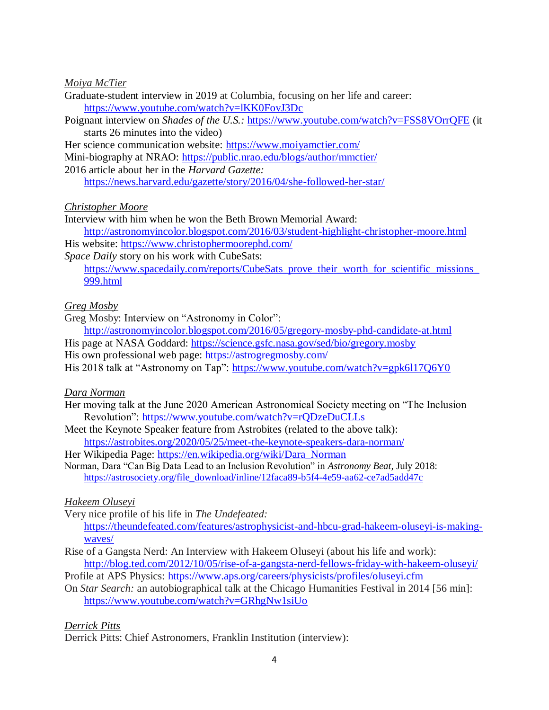#### *Moiya McTier*

- Graduate-student interview in 2019 at Columbia, focusing on her life and career: <https://www.youtube.com/watch?v=lKK0FovJ3Dc>
- Poignant interview on *Shades of the U.S.:* <https://www.youtube.com/watch?v=FSS8VOrrQFE> (it starts 26 minutes into the video)

Her science communication website:<https://www.moiyamctier.com/>

Mini-biography at NRAO:<https://public.nrao.edu/blogs/author/mmctier/>

2016 article about her in the *Harvard Gazette:* 

<https://news.harvard.edu/gazette/story/2016/04/she-followed-her-star/>

#### *Christopher Moore*

Interview with him when he won the Beth Brown Memorial Award:

<http://astronomyincolor.blogspot.com/2016/03/student-highlight-christopher-moore.html> His website:<https://www.christophermoorephd.com/>

*Space Daily* story on his work with CubeSats:

https://www.spacedaily.com/reports/CubeSats\_prove\_their\_worth\_for\_scientific\_missions [999.html](https://www.spacedaily.com/reports/CubeSats_prove_their_worth_for_scientific_missions_999.html)

### *Greg Mosby*

Greg Mosby: Interview on "Astronomy in Color":

<http://astronomyincolor.blogspot.com/2016/05/gregory-mosby-phd-candidate-at.html> His page at NASA Goddard:<https://science.gsfc.nasa.gov/sed/bio/gregory.mosby>

His own professional web page:<https://astrogregmosby.com/>

His 2018 talk at "Astronomy on Tap":<https://www.youtube.com/watch?v=gpk6l17Q6Y0>

#### *Dara Norman*

- Her moving talk at the June 2020 American Astronomical Society meeting on "The Inclusion Revolution":<https://www.youtube.com/watch?v=rQDzeDuCLLs>
- Meet the Keynote Speaker feature from Astrobites (related to the above talk):

<https://astrobites.org/2020/05/25/meet-the-keynote-speakers-dara-norman/>

Her Wikipedia Page: [https://en.wikipedia.org/wiki/Dara\\_Norman](https://en.wikipedia.org/wiki/Dara_Norman)

Norman, Dara "Can Big Data Lead to an Inclusion Revolution" in *Astronomy Beat,* July 2018: [https://astrosociety.org/file\\_download/inline/12faca89-b5f4-4e59-aa62-ce7ad5add47c](https://astrosociety.org/file_download/inline/12faca89-b5f4-4e59-aa62-ce7ad5add47c)

## *Hakeem Oluseyi*

Very nice profile of his life in *The Undefeated:*

[https://theundefeated.com/features/astrophysicist-and-hbcu-grad-hakeem-oluseyi-is-making](https://theundefeated.com/features/astrophysicist-and-hbcu-grad-hakeem-oluseyi-is-making-waves/)[waves/](https://theundefeated.com/features/astrophysicist-and-hbcu-grad-hakeem-oluseyi-is-making-waves/)

- Rise of a Gangsta Nerd: An Interview with Hakeem Oluseyi (about his life and work): <http://blog.ted.com/2012/10/05/rise-of-a-gangsta-nerd-fellows-friday-with-hakeem-oluseyi/>
- Profile at APS Physics:<https://www.aps.org/careers/physicists/profiles/oluseyi.cfm>
- On *Star Search:* an autobiographical talk at the Chicago Humanities Festival in 2014 [56 min]: <https://www.youtube.com/watch?v=GRhgNw1siUo>

## *Derrick Pitts*

Derrick Pitts: Chief Astronomers, Franklin Institution (interview):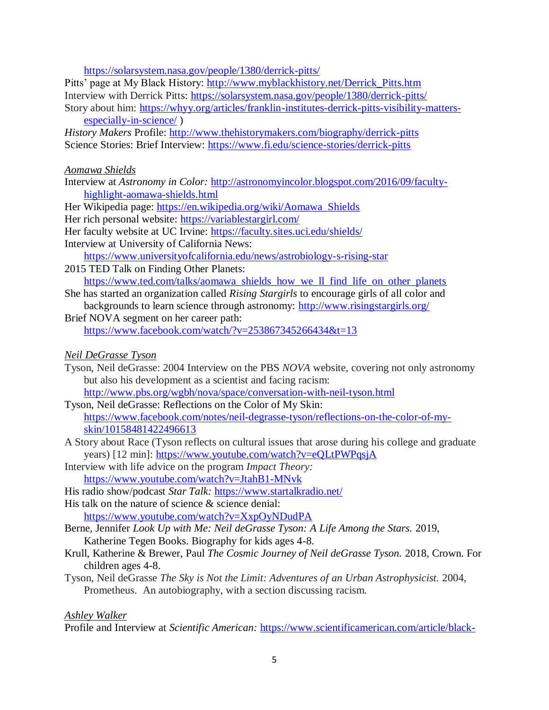<https://solarsystem.nasa.gov/people/1380/derrick-pitts/>

Pitts' page at My Black History: [http://www.myblackhistory.net/Derrick\\_Pitts.htm](http://www.myblackhistory.net/Derrick_Pitts.htm) Interview with Derrick Pitts:<https://solarsystem.nasa.gov/people/1380/derrick-pitts/> Story about him: [https://whyy.org/articles/franklin-institutes-derrick-pitts-visibility-matters](https://whyy.org/articles/franklin-institutes-derrick-pitts-visibility-matters-especially-in-science/)[especially-in-science/](https://whyy.org/articles/franklin-institutes-derrick-pitts-visibility-matters-especially-in-science/) )

*History Makers* Profile: <http://www.thehistorymakers.com/biography/derrick-pitts> Science Stories: Brief Interview:<https://www.fi.edu/science-stories/derrick-pitts>

#### *Aomawa Shields*

Interview at *Astronomy in Color:* [http://astronomyincolor.blogspot.com/2016/09/faculty](http://astronomyincolor.blogspot.com/2016/09/faculty-highlight-aomawa-shields.html)[highlight-aomawa-shields.html](http://astronomyincolor.blogspot.com/2016/09/faculty-highlight-aomawa-shields.html)

Her Wikipedia page: [https://en.wikipedia.org/wiki/Aomawa\\_Shields](https://en.wikipedia.org/wiki/Aomawa_Shields)

Her rich personal website:<https://variablestargirl.com/>

Her faculty website at UC Irvine: [https://faculty.sites.uci.edu/shields/](https://urldefense.com/v3/__https:/faculty.sites.uci.edu/shields/__;!!A-B3JKCz!Q7y1aUQDjpVAlwpJ_p68h6GS2wO_NeAHjruDTRyuQcpxLUzGZ5yo3p4FxONxXsnbSu2V$) Interview at University of California News:

<https://www.universityofcalifornia.edu/news/astrobiology-s-rising-star>

- 2015 TED Talk on Finding Other Planets: [https://www.ted.com/talks/aomawa\\_shields\\_how\\_we\\_ll\\_find\\_life\\_on\\_other\\_planets](https://www.ted.com/talks/aomawa_shields_how_we_ll_find_life_on_other_planets)
- She has started an organization called *Rising Stargirls* to encourage girls of all color and backgrounds to learn science through astronomy:<http://www.risingstargirls.org/>
- Brief NOVA segment on her career path: <https://www.facebook.com/watch/?v=253867345266434&t=13>

*Neil DeGrasse Tyson*

- Tyson, Neil deGrasse: 2004 Interview on the PBS *NOVA* website, covering not only astronomy but also his development as a scientist and facing racism: <http://www.pbs.org/wgbh/nova/space/conversation-with-neil-tyson.html>
- Tyson, Neil deGrasse: Reflections on the Color of My Skin: [https://www.facebook.com/notes/neil-degrasse-tyson/reflections-on-the-color-of-my](https://www.facebook.com/notes/neil-degrasse-tyson/reflections-on-the-color-of-my-skin/10158481422496613)[skin/10158481422496613](https://www.facebook.com/notes/neil-degrasse-tyson/reflections-on-the-color-of-my-skin/10158481422496613)
- A Story about Race (Tyson reflects on cultural issues that arose during his college and graduate years) [12 min]:<https://www.youtube.com/watch?v=eQLtPWPqsjA>
- Interview with life advice on the program *Impact Theory:* <https://www.youtube.com/watch?v=JtahB1-MNvk>
- His radio show/podcast *Star Talk:* <https://www.startalkradio.net/>
- His talk on the nature of science & science denial: <https://www.youtube.com/watch?v=XxpOyNDudPA>
- Berne, Jennifer *Look Up with Me: Neil deGrasse Tyson: A Life Among the Stars.* 2019, Katherine Tegen Books. Biography for kids ages 4-8.
- Krull, Katherine & Brewer, Paul *The Cosmic Journey of Neil deGrasse Tyson.* 2018, Crown. For children ages 4-8.
- Tyson, Neil deGrasse *The Sky is Not the Limit: Adventures of an Urban Astrophysicist.* 2004, Prometheus. An autobiography, with a section discussing racism.

## *Ashley Walker*

Profile and Interview at *Scientific American:* [https://www.scientificamerican.com/article/black-](https://www.scientificamerican.com/article/black-astronomers-highlight-achievements-and-obstacles/)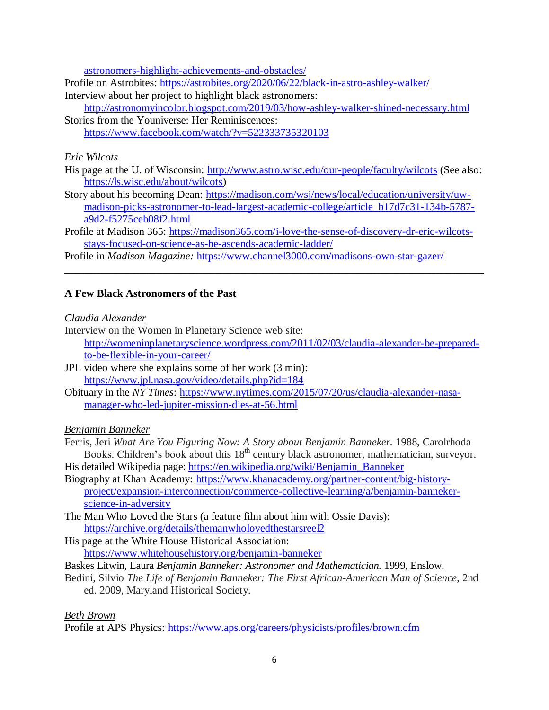[astronomers-highlight-achievements-and-obstacles/](https://www.scientificamerican.com/article/black-astronomers-highlight-achievements-and-obstacles/)

Profile on Astrobites:<https://astrobites.org/2020/06/22/black-in-astro-ashley-walker/> Interview about her project to highlight black astronomers:

<http://astronomyincolor.blogspot.com/2019/03/how-ashley-walker-shined-necessary.html> Stories from the Youniverse: Her Reminiscences: <https://www.facebook.com/watch/?v=522333735320103>

### *Eric Wilcots*

- His page at the U. of Wisconsin:<http://www.astro.wisc.edu/our-people/faculty/wilcots> (See also: [https://ls.wisc.edu/about/wilcots\)](https://ls.wisc.edu/about/wilcots)
- Story about his becoming Dean: [https://madison.com/wsj/news/local/education/university/uw](https://madison.com/wsj/news/local/education/university/uw-madison-picks-astronomer-to-lead-largest-academic-college/article_b17d7c31-134b-5787-a9d2-f5275ceb08f2.html)[madison-picks-astronomer-to-lead-largest-academic-college/article\\_b17d7c31-134b-5787](https://madison.com/wsj/news/local/education/university/uw-madison-picks-astronomer-to-lead-largest-academic-college/article_b17d7c31-134b-5787-a9d2-f5275ceb08f2.html) [a9d2-f5275ceb08f2.html](https://madison.com/wsj/news/local/education/university/uw-madison-picks-astronomer-to-lead-largest-academic-college/article_b17d7c31-134b-5787-a9d2-f5275ceb08f2.html)

Profile at Madison 365: [https://madison365.com/i-love-the-sense-of-discovery-dr-eric-wilcots](https://madison365.com/i-love-the-sense-of-discovery-dr-eric-wilcots-stays-focused-on-science-as-he-ascends-academic-ladder/)[stays-focused-on-science-as-he-ascends-academic-ladder/](https://madison365.com/i-love-the-sense-of-discovery-dr-eric-wilcots-stays-focused-on-science-as-he-ascends-academic-ladder/) 

\_\_\_\_\_\_\_\_\_\_\_\_\_\_\_\_\_\_\_\_\_\_\_\_\_\_\_\_\_\_\_\_\_\_\_\_\_\_\_\_\_\_\_\_\_\_\_\_\_\_\_\_\_\_\_\_\_\_\_\_\_\_\_\_\_\_\_\_\_\_\_\_\_\_\_\_\_\_

Profile in *Madison Magazine:* <https://www.channel3000.com/madisons-own-star-gazer/>

## **A Few Black Astronomers of the Past**

### *Claudia Alexander*

Interview on the Women in Planetary Science web site: [http://womeninplanetaryscience.wordpress.com/2011/02/03/claudia-alexander-be-prepared](http://womeninplanetaryscience.wordpress.com/2011/02/03/claudia-alexander-be-prepared-to-be-flexible-in-your-career/)[to-be-flexible-in-your-career/](http://womeninplanetaryscience.wordpress.com/2011/02/03/claudia-alexander-be-prepared-to-be-flexible-in-your-career/)

JPL video where she explains some of her work (3 min): <https://www.jpl.nasa.gov/video/details.php?id=184>

Obituary in the *NY Times*: [https://www.nytimes.com/2015/07/20/us/claudia-alexander-nasa](https://www.nytimes.com/2015/07/20/us/claudia-alexander-nasa-manager-who-led-jupiter-mission-dies-at-56.html)[manager-who-led-jupiter-mission-dies-at-56.html](https://www.nytimes.com/2015/07/20/us/claudia-alexander-nasa-manager-who-led-jupiter-mission-dies-at-56.html)

## *Benjamin Banneker*

Ferris, Jeri *What Are You Figuring Now: A Story about Benjamin Banneker.* 1988, Carolrhoda Books. Children's book about this 18<sup>th</sup> century black astronomer, mathematician, surveyor.

His detailed Wikipedia page: [https://en.wikipedia.org/wiki/Benjamin\\_Banneker](https://en.wikipedia.org/wiki/Benjamin_Banneker)  Biography at Khan Academy: [https://www.khanacademy.org/partner-content/big-history-](https://www.khanacademy.org/partner-content/big-history-project/expansion-interconnection/commerce-collective-learning/a/benjamin-banneker-science-in-adversity)

- [project/expansion-interconnection/commerce-collective-learning/a/benjamin-banneker](https://www.khanacademy.org/partner-content/big-history-project/expansion-interconnection/commerce-collective-learning/a/benjamin-banneker-science-in-adversity)[science-in-adversity](https://www.khanacademy.org/partner-content/big-history-project/expansion-interconnection/commerce-collective-learning/a/benjamin-banneker-science-in-adversity)
- The Man Who Loved the Stars (a feature film about him with Ossie Davis): <https://archive.org/details/themanwholovedthestarsreel2>
- His page at the White House Historical Association: <https://www.whitehousehistory.org/benjamin-banneker>
- Baskes Litwin, Laura *Benjamin Banneker: Astronomer and Mathematician.* 1999, Enslow.
- Bedini, Silvio *The Life of Benjamin Banneker: The First African-American Man of Science*, 2nd ed. 2009, Maryland Historical Society.

## *Beth Brown*

Profile at APS Physics:<https://www.aps.org/careers/physicists/profiles/brown.cfm>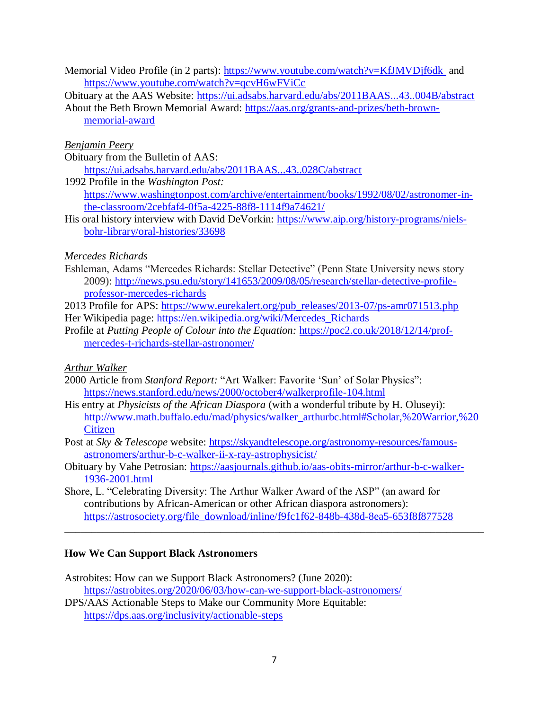- Memorial Video Profile (in 2 parts):<https://www.youtube.com/watch?v=KfJMVDjf6dk> and <https://www.youtube.com/watch?v=qcvH6wFViCc>
- Obituary at the AAS Website:<https://ui.adsabs.harvard.edu/abs/2011BAAS...43..004B/abstract>
- About the Beth Brown Memorial Award: [https://aas.org/grants-and-prizes/beth-brown](https://aas.org/grants-and-prizes/beth-brown-memorial-award)[memorial-award](https://aas.org/grants-and-prizes/beth-brown-memorial-award)

### *Benjamin Peery*

- Obituary from the Bulletin of AAS:
- <https://ui.adsabs.harvard.edu/abs/2011BAAS...43..028C/abstract> 1992 Profile in the *Washington Post:*  [https://www.washingtonpost.com/archive/entertainment/books/1992/08/02/astronomer-in](https://www.washingtonpost.com/archive/entertainment/books/1992/08/02/astronomer-in-the-classroom/2cebfaf4-0f5a-4225-88f8-1114f9a74621/)[the-classroom/2cebfaf4-0f5a-4225-88f8-1114f9a74621/](https://www.washingtonpost.com/archive/entertainment/books/1992/08/02/astronomer-in-the-classroom/2cebfaf4-0f5a-4225-88f8-1114f9a74621/)
- His oral history interview with David DeVorkin: [https://www.aip.org/history-programs/niels](https://www.aip.org/history-programs/niels-bohr-library/oral-histories/33698)[bohr-library/oral-histories/33698](https://www.aip.org/history-programs/niels-bohr-library/oral-histories/33698)

## *Mercedes Richards*

Eshleman, Adams "Mercedes Richards: Stellar Detective" (Penn State University news story 2009): [http://news.psu.edu/story/141653/2009/08/05/research/stellar-detective-profile](http://news.psu.edu/story/141653/2009/08/05/research/stellar-detective-profile-professor-mercedes-richards)[professor-mercedes-richards](http://news.psu.edu/story/141653/2009/08/05/research/stellar-detective-profile-professor-mercedes-richards)

2013 Profile for APS: [https://www.eurekalert.org/pub\\_releases/2013-07/ps-amr071513.php](https://www.eurekalert.org/pub_releases/2013-07/ps-amr071513.php) Her Wikipedia page: [https://en.wikipedia.org/wiki/Mercedes\\_Richards](https://en.wikipedia.org/wiki/Mercedes_Richards)

Profile at *Putting People of Colour into the Equation:* [https://poc2.co.uk/2018/12/14/prof](https://poc2.co.uk/2018/12/14/prof-mercedes-t-richards-stellar-astronomer/)[mercedes-t-richards-stellar-astronomer/](https://poc2.co.uk/2018/12/14/prof-mercedes-t-richards-stellar-astronomer/) 

# *Arthur Walker*

- 2000 Article from *Stanford Report:* "Art Walker: Favorite 'Sun' of Solar Physics": <https://news.stanford.edu/news/2000/october4/walkerprofile-104.html>
- His entry at *Physicists of the African Diaspora* (with a wonderful tribute by H. Oluseyi): [http://www.math.buffalo.edu/mad/physics/walker\\_arthurbc.html#Scholar,%20Warrior,%20](http://www.math.buffalo.edu/mad/physics/walker_arthurbc.html#Scholar,%20Warrior,%20Citizen) **Citizen**
- Post at *Sky & Telescope* website: [https://skyandtelescope.org/astronomy-resources/famous](https://skyandtelescope.org/astronomy-resources/famous-astronomers/arthur-b-c-walker-ii-x-ray-astrophysicist/)[astronomers/arthur-b-c-walker-ii-x-ray-astrophysicist/](https://skyandtelescope.org/astronomy-resources/famous-astronomers/arthur-b-c-walker-ii-x-ray-astrophysicist/)
- Obituary by Vahe Petrosian: [https://aasjournals.github.io/aas-obits-mirror/arthur-b-c-walker-](https://aasjournals.github.io/aas-obits-mirror/arthur-b-c-walker-1936-2001.html)[1936-2001.html](https://aasjournals.github.io/aas-obits-mirror/arthur-b-c-walker-1936-2001.html)
- Shore, L. "Celebrating Diversity: The Arthur Walker Award of the ASP" (an award for contributions by African-American or other African diaspora astronomers): [https://astrosociety.org/file\\_download/inline/f9fc1f62-848b-438d-8ea5-653f8f877528](https://astrosociety.org/file_download/inline/f9fc1f62-848b-438d-8ea5-653f8f877528)

\_\_\_\_\_\_\_\_\_\_\_\_\_\_\_\_\_\_\_\_\_\_\_\_\_\_\_\_\_\_\_\_\_\_\_\_\_\_\_\_\_\_\_\_\_\_\_\_\_\_\_\_\_\_\_\_\_\_\_\_\_\_\_\_\_\_\_\_\_\_\_\_\_\_\_\_\_\_

## **How We Can Support Black Astronomers**

- Astrobites: How can we Support Black Astronomers? (June 2020): <https://astrobites.org/2020/06/03/how-can-we-support-black-astronomers/> DPS/AAS Actionable Steps to Make our Community More Equitable:
- <https://dps.aas.org/inclusivity/actionable-steps>